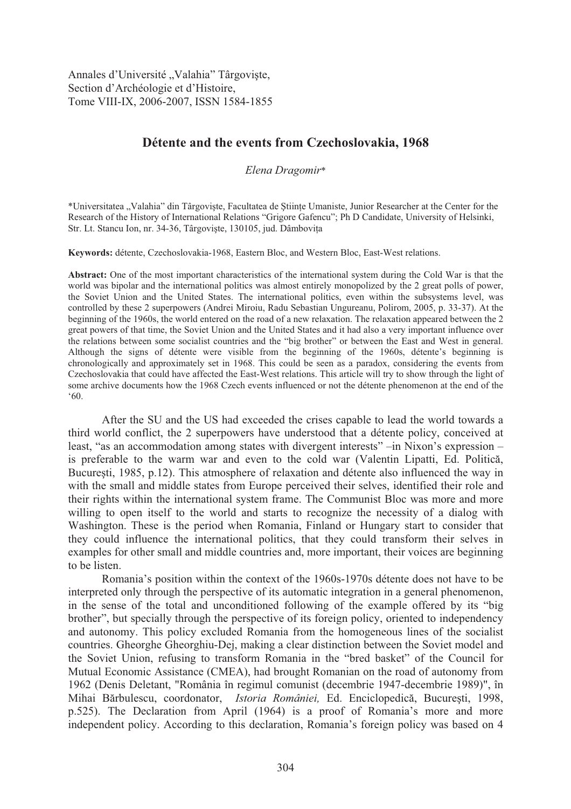Annales d'Université "Valahia" Târgoviște, Section d'Archéologie et d'Histoire, Tome VIII-IX, 2006-2007, ISSN 1584-1855

## **Détente and the events from Czechoslovakia, 1968**

*Elena Dragomir*\*

\*Universitatea "Valahia" din Târgoviste, Facultatea de Stiinte Umaniste, Junior Researcher at the Center for the Research of the History of International Relations "Grigore Gafencu"; Ph D Candidate, University of Helsinki, Str. Lt. Stancu Ion, nr. 34-36, Târgoviște, 130105, jud. Dâmbovița

**Keywords:** détente, Czechoslovakia-1968, Eastern Bloc, and Western Bloc, East-West relations.

**Abstract:** One of the most important characteristics of the international system during the Cold War is that the world was bipolar and the international politics was almost entirely monopolized by the 2 great polls of power, the Soviet Union and the United States. The international politics, even within the subsystems level, was controlled by these 2 superpowers (Andrei Miroiu, Radu Sebastian Ungureanu, Polirom, 2005, p. 33-37). At the beginning of the 1960s, the world entered on the road of a new relaxation. The relaxation appeared between the 2 great powers of that time, the Soviet Union and the United States and it had also a very important influence over the relations between some socialist countries and the "big brother" or between the East and West in general. Although the signs of détente were visible from the beginning of the 1960s, détente's beginning is chronologically and approximately set in 1968. This could be seen as a paradox, considering the events from Czechoslovakia that could have affected the East-West relations. This article will try to show through the light of some archive documents how the 1968 Czech events influenced or not the détente phenomenon at the end of the '60.

After the SU and the US had exceeded the crises capable to lead the world towards a third world conflict, the 2 superpowers have understood that a détente policy, conceived at least, "as an accommodation among states with divergent interests" –in Nixon's expression – is preferable to the warm war and even to the cold war (Valentin Lipatti, Ed. Politică, Bucure sti, 1985, p.12). This atmosphere of relaxation and détente also influenced the way in with the small and middle states from Europe perceived their selves, identified their role and their rights within the international system frame. The Communist Bloc was more and more willing to open itself to the world and starts to recognize the necessity of a dialog with Washington. These is the period when Romania, Finland or Hungary start to consider that they could influence the international politics, that they could transform their selves in examples for other small and middle countries and, more important, their voices are beginning to be listen.

Romania's position within the context of the 1960s-1970s détente does not have to be interpreted only through the perspective of its automatic integration in a general phenomenon, in the sense of the total and unconditioned following of the example offered by its "big brother", but specially through the perspective of its foreign policy, oriented to independency and autonomy. This policy excluded Romania from the homogeneous lines of the socialist countries. Gheorghe Gheorghiu-Dej, making a clear distinction between the Soviet model and the Soviet Union, refusing to transform Romania in the "bred basket" of the Council for Mutual Economic Assistance (CMEA), had brought Romanian on the road of autonomy from 1962 (Denis Deletant, "România în regimul comunist (decembrie 1947-decembrie 1989)", în Mihai Bărbulescu, coordonator, *Istoria României*, Ed. Enciclopedică, București, 1998, p.525). The Declaration from April (1964) is a proof of Romania's more and more independent policy. According to this declaration, Romania's foreign policy was based on 4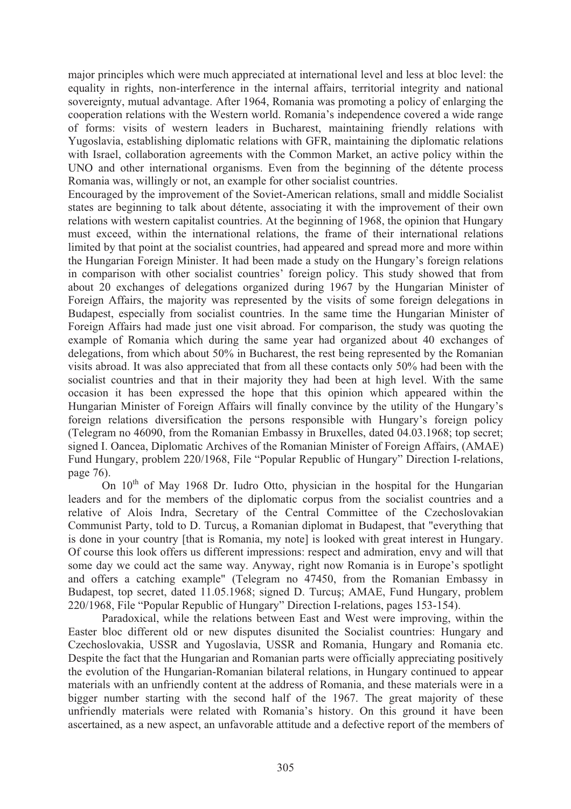major principles which were much appreciated at international level and less at bloc level: the equality in rights, non-interference in the internal affairs, territorial integrity and national sovereignty, mutual advantage. After 1964, Romania was promoting a policy of enlarging the cooperation relations with the Western world. Romania's independence covered a wide range of forms: visits of western leaders in Bucharest, maintaining friendly relations with Yugoslavia, establishing diplomatic relations with GFR, maintaining the diplomatic relations with Israel, collaboration agreements with the Common Market, an active policy within the UNO and other international organisms. Even from the beginning of the détente process Romania was, willingly or not, an example for other socialist countries.

Encouraged by the improvement of the Soviet-American relations, small and middle Socialist states are beginning to talk about détente, associating it with the improvement of their own relations with western capitalist countries. At the beginning of 1968, the opinion that Hungary must exceed, within the international relations, the frame of their international relations limited by that point at the socialist countries, had appeared and spread more and more within the Hungarian Foreign Minister. It had been made a study on the Hungary's foreign relations in comparison with other socialist countries' foreign policy. This study showed that from about 20 exchanges of delegations organized during 1967 by the Hungarian Minister of Foreign Affairs, the majority was represented by the visits of some foreign delegations in Budapest, especially from socialist countries. In the same time the Hungarian Minister of Foreign Affairs had made just one visit abroad. For comparison, the study was quoting the example of Romania which during the same year had organized about 40 exchanges of delegations, from which about 50% in Bucharest, the rest being represented by the Romanian visits abroad. It was also appreciated that from all these contacts only 50% had been with the socialist countries and that in their majority they had been at high level. With the same occasion it has been expressed the hope that this opinion which appeared within the Hungarian Minister of Foreign Affairs will finally convince by the utility of the Hungary's foreign relations diversification the persons responsible with Hungary's foreign policy (Telegram no 46090, from the Romanian Embassy in Bruxelles, dated 04.03.1968; top secret; signed I. Oancea, Diplomatic Archives of the Romanian Minister of Foreign Affairs, (AMAE) Fund Hungary, problem 220/1968, File "Popular Republic of Hungary" Direction I-relations, page 76).

On  $10<sup>th</sup>$  of May 1968 Dr. Iudro Otto, physician in the hospital for the Hungarian leaders and for the members of the diplomatic corpus from the socialist countries and a relative of Alois Indra, Secretary of the Central Committee of the Czechoslovakian Communist Party, told to D. Turcus, a Romanian diplomat in Budapest, that "everything that is done in your country [that is Romania, my note] is looked with great interest in Hungary. Of course this look offers us different impressions: respect and admiration, envy and will that some day we could act the same way. Anyway, right now Romania is in Europe's spotlight and offers a catching example" (Telegram no 47450, from the Romanian Embassy in Budapest, top secret, dated 11.05.1968; signed D. Turcus; AMAE, Fund Hungary, problem 220/1968, File "Popular Republic of Hungary" Direction I-relations, pages 153-154).

Paradoxical, while the relations between East and West were improving, within the Easter bloc different old or new disputes disunited the Socialist countries: Hungary and Czechoslovakia, USSR and Yugoslavia, USSR and Romania, Hungary and Romania etc. Despite the fact that the Hungarian and Romanian parts were officially appreciating positively the evolution of the Hungarian-Romanian bilateral relations, in Hungary continued to appear materials with an unfriendly content at the address of Romania, and these materials were in a bigger number starting with the second half of the 1967. The great majority of these unfriendly materials were related with Romania's history. On this ground it have been ascertained, as a new aspect, an unfavorable attitude and a defective report of the members of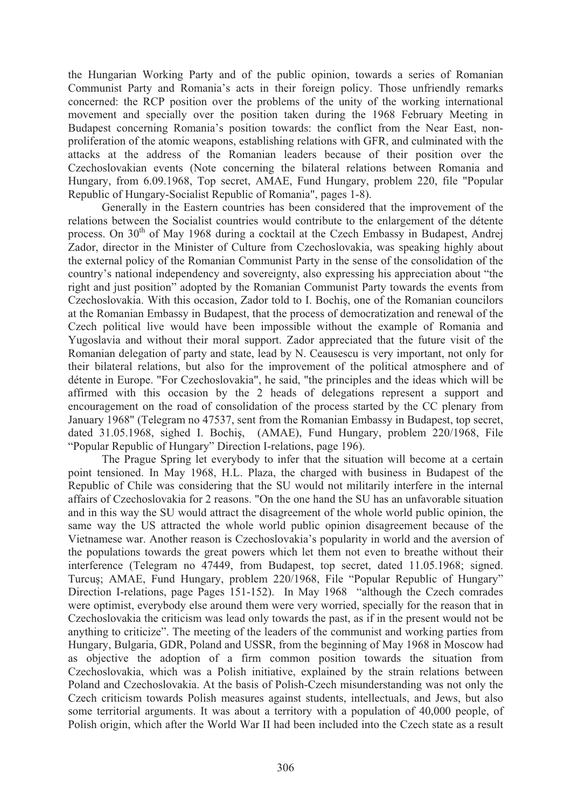the Hungarian Working Party and of the public opinion, towards a series of Romanian Communist Party and Romania's acts in their foreign policy. Those unfriendly remarks concerned: the RCP position over the problems of the unity of the working international movement and specially over the position taken during the 1968 February Meeting in Budapest concerning Romania's position towards: the conflict from the Near East, nonproliferation of the atomic weapons, establishing relations with GFR, and culminated with the attacks at the address of the Romanian leaders because of their position over the Czechoslovakian events (Note concerning the bilateral relations between Romania and Hungary, from 6.09.1968, Top secret, AMAE, Fund Hungary, problem 220, file "Popular Republic of Hungary-Socialist Republic of Romania", pages 1-8).

Generally in the Eastern countries has been considered that the improvement of the relations between the Socialist countries would contribute to the enlargement of the détente process. On  $30<sup>th</sup>$  of May 1968 during a cocktail at the Czech Embassy in Budapest, Andrej Zador, director in the Minister of Culture from Czechoslovakia, was speaking highly about the external policy of the Romanian Communist Party in the sense of the consolidation of the country's national independency and sovereignty, also expressing his appreciation about "the right and just position" adopted by the Romanian Communist Party towards the events from Czechoslovakia. With this occasion, Zador told to I. Bochis, one of the Romanian councilors at the Romanian Embassy in Budapest, that the process of democratization and renewal of the Czech political live would have been impossible without the example of Romania and Yugoslavia and without their moral support. Zador appreciated that the future visit of the Romanian delegation of party and state, lead by N. Ceausescu is very important, not only for their bilateral relations, but also for the improvement of the political atmosphere and of détente in Europe. "For Czechoslovakia", he said, "the principles and the ideas which will be affirmed with this occasion by the 2 heads of delegations represent a support and encouragement on the road of consolidation of the process started by the CC plenary from January 1968" (Telegram no 47537, sent from the Romanian Embassy in Budapest, top secret, dated 31.05.1968, sighed I. Bochis, (AMAE), Fund Hungary, problem 220/1968, File "Popular Republic of Hungary" Direction I-relations, page 196).

The Prague Spring let everybody to infer that the situation will become at a certain point tensioned. In May 1968, H.L. Plaza, the charged with business in Budapest of the Republic of Chile was considering that the SU would not militarily interfere in the internal affairs of Czechoslovakia for 2 reasons. "On the one hand the SU has an unfavorable situation and in this way the SU would attract the disagreement of the whole world public opinion, the same way the US attracted the whole world public opinion disagreement because of the Vietnamese war. Another reason is Czechoslovakia's popularity in world and the aversion of the populations towards the great powers which let them not even to breathe without their interference (Telegram no 47449, from Budapest, top secret, dated 11.05.1968; signed. Turcus; AMAE, Fund Hungary, problem 220/1968, File "Popular Republic of Hungary" Direction I-relations, page Pages 151-152). In May 1968 "although the Czech comrades were optimist, everybody else around them were very worried, specially for the reason that in Czechoslovakia the criticism was lead only towards the past, as if in the present would not be anything to criticize". The meeting of the leaders of the communist and working parties from Hungary, Bulgaria, GDR, Poland and USSR, from the beginning of May 1968 in Moscow had as objective the adoption of a firm common position towards the situation from Czechoslovakia, which was a Polish initiative, explained by the strain relations between Poland and Czechoslovakia. At the basis of Polish-Czech misunderstanding was not only the Czech criticism towards Polish measures against students, intellectuals, and Jews, but also some territorial arguments. It was about a territory with a population of 40,000 people, of Polish origin, which after the World War II had been included into the Czech state as a result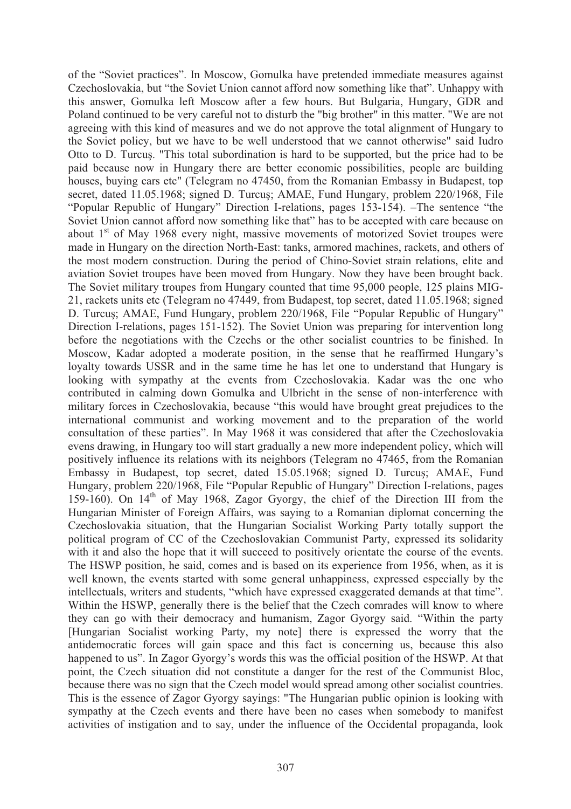of the "Soviet practices". In Moscow, Gomulka have pretended immediate measures against Czechoslovakia, but "the Soviet Union cannot afford now something like that". Unhappy with this answer, Gomulka left Moscow after a few hours. But Bulgaria, Hungary, GDR and Poland continued to be very careful not to disturb the "big brother" in this matter. "We are not agreeing with this kind of measures and we do not approve the total alignment of Hungary to the Soviet policy, but we have to be well understood that we cannot otherwise" said Iudro Otto to D. Turcus. "This total subordination is hard to be supported, but the price had to be paid because now in Hungary there are better economic possibilities, people are building houses, buying cars etc" (Telegram no 47450, from the Romanian Embassy in Budapest, top secret, dated 11.05.1968; signed D. Turcus; AMAE, Fund Hungary, problem 220/1968, File "Popular Republic of Hungary" Direction I-relations, pages 153-154). –The sentence "the Soviet Union cannot afford now something like that" has to be accepted with care because on about  $1<sup>st</sup>$  of May 1968 every night, massive movements of motorized Soviet troupes were made in Hungary on the direction North-East: tanks, armored machines, rackets, and others of the most modern construction. During the period of Chino-Soviet strain relations, elite and aviation Soviet troupes have been moved from Hungary. Now they have been brought back. The Soviet military troupes from Hungary counted that time 95,000 people, 125 plains MIG-21, rackets units etc (Telegram no 47449, from Budapest, top secret, dated 11.05.1968; signed D. Turcus; AMAE, Fund Hungary, problem 220/1968, File "Popular Republic of Hungary" Direction I-relations, pages 151-152). The Soviet Union was preparing for intervention long before the negotiations with the Czechs or the other socialist countries to be finished. In Moscow, Kadar adopted a moderate position, in the sense that he reaffirmed Hungary's loyalty towards USSR and in the same time he has let one to understand that Hungary is looking with sympathy at the events from Czechoslovakia. Kadar was the one who contributed in calming down Gomulka and Ulbricht in the sense of non-interference with military forces in Czechoslovakia, because "this would have brought great prejudices to the international communist and working movement and to the preparation of the world consultation of these parties". In May 1968 it was considered that after the Czechoslovakia evens drawing, in Hungary too will start gradually a new more independent policy, which will positively influence its relations with its neighbors (Telegram no 47465, from the Romanian Embassy in Budapest, top secret, dated 15.05.1968; signed D. Turcus; AMAE, Fund Hungary, problem 220/1968, File "Popular Republic of Hungary" Direction I-relations, pages 159-160). On  $14<sup>th</sup>$  of May 1968, Zagor Gyorgy, the chief of the Direction III from the Hungarian Minister of Foreign Affairs, was saying to a Romanian diplomat concerning the Czechoslovakia situation, that the Hungarian Socialist Working Party totally support the political program of CC of the Czechoslovakian Communist Party, expressed its solidarity with it and also the hope that it will succeed to positively orientate the course of the events. The HSWP position, he said, comes and is based on its experience from 1956, when, as it is well known, the events started with some general unhappiness, expressed especially by the intellectuals, writers and students, "which have expressed exaggerated demands at that time". Within the HSWP, generally there is the belief that the Czech comrades will know to where they can go with their democracy and humanism, Zagor Gyorgy said. "Within the party [Hungarian Socialist working Party, my note] there is expressed the worry that the antidemocratic forces will gain space and this fact is concerning us, because this also happened to us". In Zagor Gyorgy's words this was the official position of the HSWP. At that point, the Czech situation did not constitute a danger for the rest of the Communist Bloc, because there was no sign that the Czech model would spread among other socialist countries. This is the essence of Zagor Gyorgy sayings: "The Hungarian public opinion is looking with sympathy at the Czech events and there have been no cases when somebody to manifest activities of instigation and to say, under the influence of the Occidental propaganda, look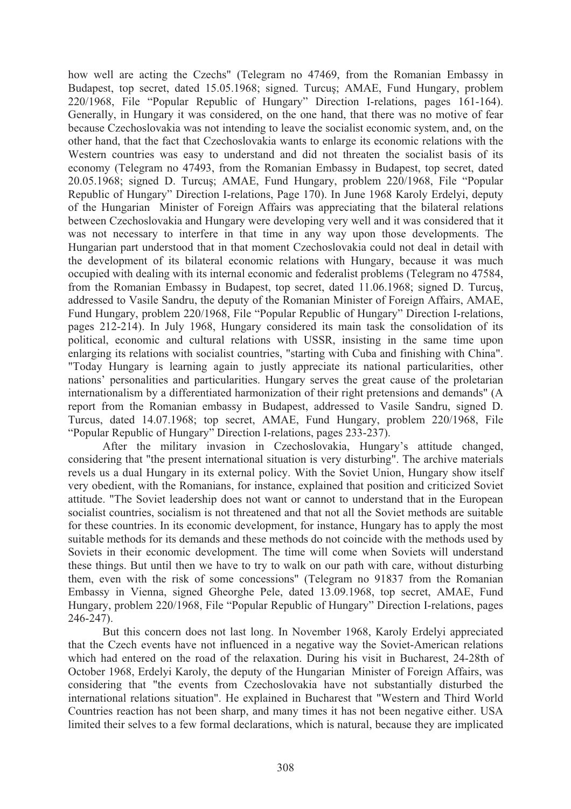how well are acting the Czechs" (Telegram no 47469, from the Romanian Embassy in Budapest, top secret, dated 15.05.1968; signed. Turcus; AMAE, Fund Hungary, problem 220/1968, File "Popular Republic of Hungary" Direction I-relations, pages 161-164). Generally, in Hungary it was considered, on the one hand, that there was no motive of fear because Czechoslovakia was not intending to leave the socialist economic system, and, on the other hand, that the fact that Czechoslovakia wants to enlarge its economic relations with the Western countries was easy to understand and did not threaten the socialist basis of its economy (Telegram no 47493, from the Romanian Embassy in Budapest, top secret, dated 20.05.1968; signed D. Turcus; AMAE, Fund Hungary, problem 220/1968, File "Popular Republic of Hungary" Direction I-relations, Page 170). In June 1968 Karoly Erdelyi, deputy of the Hungarian Minister of Foreign Affairs was appreciating that the bilateral relations between Czechoslovakia and Hungary were developing very well and it was considered that it was not necessary to interfere in that time in any way upon those developments. The Hungarian part understood that in that moment Czechoslovakia could not deal in detail with the development of its bilateral economic relations with Hungary, because it was much occupied with dealing with its internal economic and federalist problems (Telegram no 47584, from the Romanian Embassy in Budapest, top secret, dated 11.06.1968; signed D. Turcus, addressed to Vasile Sandru, the deputy of the Romanian Minister of Foreign Affairs, AMAE, Fund Hungary, problem 220/1968, File "Popular Republic of Hungary" Direction I-relations, pages 212-214). In July 1968, Hungary considered its main task the consolidation of its political, economic and cultural relations with USSR, insisting in the same time upon enlarging its relations with socialist countries, "starting with Cuba and finishing with China". "Today Hungary is learning again to justly appreciate its national particularities, other nations' personalities and particularities. Hungary serves the great cause of the proletarian internationalism by a differentiated harmonization of their right pretensions and demands" (A report from the Romanian embassy in Budapest, addressed to Vasile Sandru, signed D. Turcus, dated 14.07.1968; top secret, AMAE, Fund Hungary, problem 220/1968, File "Popular Republic of Hungary" Direction I-relations, pages 233-237).

After the military invasion in Czechoslovakia, Hungary's attitude changed, considering that "the present international situation is very disturbing". The archive materials revels us a dual Hungary in its external policy. With the Soviet Union, Hungary show itself very obedient, with the Romanians, for instance, explained that position and criticized Soviet attitude. "The Soviet leadership does not want or cannot to understand that in the European socialist countries, socialism is not threatened and that not all the Soviet methods are suitable for these countries. In its economic development, for instance, Hungary has to apply the most suitable methods for its demands and these methods do not coincide with the methods used by Soviets in their economic development. The time will come when Soviets will understand these things. But until then we have to try to walk on our path with care, without disturbing them, even with the risk of some concessions" (Telegram no 91837 from the Romanian Embassy in Vienna, signed Gheorghe Pele, dated 13.09.1968, top secret, AMAE, Fund Hungary, problem 220/1968, File "Popular Republic of Hungary" Direction I-relations, pages 246-247).

But this concern does not last long. In November 1968, Karoly Erdelyi appreciated that the Czech events have not influenced in a negative way the Soviet-American relations which had entered on the road of the relaxation. During his visit in Bucharest, 24-28th of October 1968, Erdelyi Karoly, the deputy of the Hungarian Minister of Foreign Affairs, was considering that "the events from Czechoslovakia have not substantially disturbed the international relations situation". He explained in Bucharest that "Western and Third World Countries reaction has not been sharp, and many times it has not been negative either. USA limited their selves to a few formal declarations, which is natural, because they are implicated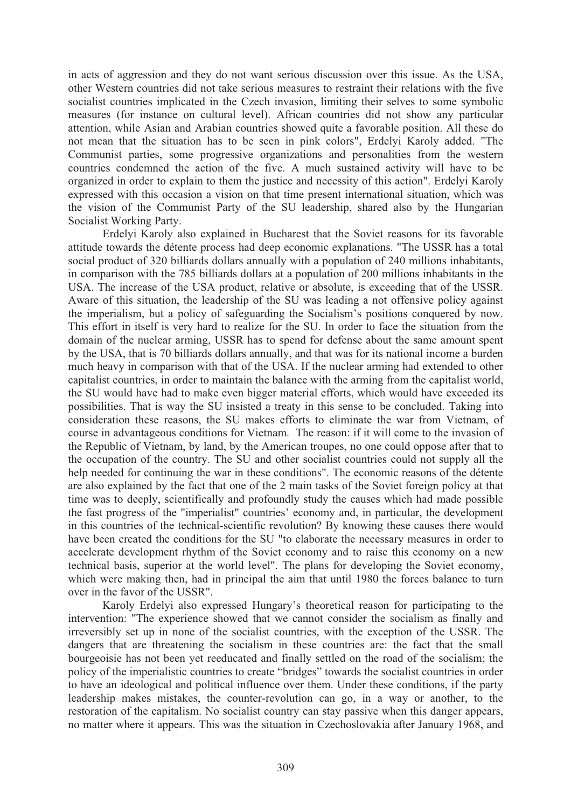in acts of aggression and they do not want serious discussion over this issue. As the USA, other Western countries did not take serious measures to restraint their relations with the five socialist countries implicated in the Czech invasion, limiting their selves to some symbolic measures (for instance on cultural level). African countries did not show any particular attention, while Asian and Arabian countries showed quite a favorable position. All these do not mean that the situation has to be seen in pink colors", Erdelyi Karoly added. "The Communist parties, some progressive organizations and personalities from the western countries condemned the action of the five. A much sustained activity will have to be organized in order to explain to them the justice and necessity of this action". Erdelyi Karoly expressed with this occasion a vision on that time present international situation, which was the vision of the Communist Party of the SU leadership, shared also by the Hungarian Socialist Working Party.

Erdelyi Karoly also explained in Bucharest that the Soviet reasons for its favorable attitude towards the détente process had deep economic explanations. "The USSR has a total social product of 320 billiards dollars annually with a population of 240 millions inhabitants, in comparison with the 785 billiards dollars at a population of 200 millions inhabitants in the USA. The increase of the USA product, relative or absolute, is exceeding that of the USSR. Aware of this situation, the leadership of the SU was leading a not offensive policy against the imperialism, but a policy of safeguarding the Socialism's positions conquered by now. This effort in itself is very hard to realize for the SU. In order to face the situation from the domain of the nuclear arming, USSR has to spend for defense about the same amount spent by the USA, that is 70 billiards dollars annually, and that was for its national income a burden much heavy in comparison with that of the USA. If the nuclear arming had extended to other capitalist countries, in order to maintain the balance with the arming from the capitalist world, the SU would have had to make even bigger material efforts, which would have exceeded its possibilities. That is way the SU insisted a treaty in this sense to be concluded. Taking into consideration these reasons, the SU makes efforts to eliminate the war from Vietnam, of course in advantageous conditions for Vietnam. The reason: if it will come to the invasion of the Republic of Vietnam, by land, by the American troupes, no one could oppose after that to the occupation of the country. The SU and other socialist countries could not supply all the help needed for continuing the war in these conditions". The economic reasons of the détente are also explained by the fact that one of the 2 main tasks of the Soviet foreign policy at that time was to deeply, scientifically and profoundly study the causes which had made possible the fast progress of the "imperialist" countries' economy and, in particular, the development in this countries of the technical-scientific revolution? By knowing these causes there would have been created the conditions for the SU "to elaborate the necessary measures in order to accelerate development rhythm of the Soviet economy and to raise this economy on a new technical basis, superior at the world level". The plans for developing the Soviet economy, which were making then, had in principal the aim that until 1980 the forces balance to turn over in the favor of the USSR".

Karoly Erdelyi also expressed Hungary's theoretical reason for participating to the intervention: "The experience showed that we cannot consider the socialism as finally and irreversibly set up in none of the socialist countries, with the exception of the USSR. The dangers that are threatening the socialism in these countries are: the fact that the small bourgeoisie has not been yet reeducated and finally settled on the road of the socialism; the policy of the imperialistic countries to create "bridges" towards the socialist countries in order to have an ideological and political influence over them. Under these conditions, if the party leadership makes mistakes, the counter-revolution can go, in a way or another, to the restoration of the capitalism. No socialist country can stay passive when this danger appears, no matter where it appears. This was the situation in Czechoslovakia after January 1968, and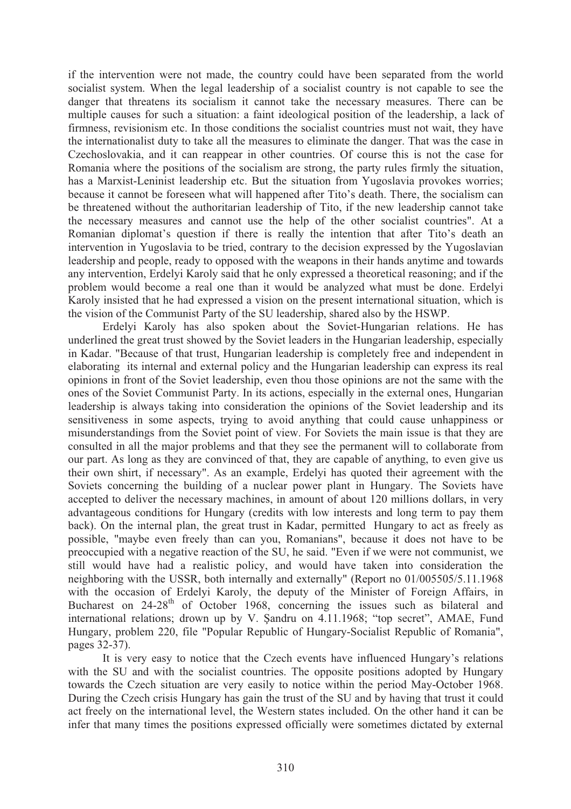if the intervention were not made, the country could have been separated from the world socialist system. When the legal leadership of a socialist country is not capable to see the danger that threatens its socialism it cannot take the necessary measures. There can be multiple causes for such a situation: a faint ideological position of the leadership, a lack of firmness, revisionism etc. In those conditions the socialist countries must not wait, they have the internationalist duty to take all the measures to eliminate the danger. That was the case in Czechoslovakia, and it can reappear in other countries. Of course this is not the case for Romania where the positions of the socialism are strong, the party rules firmly the situation, has a Marxist-Leninist leadership etc. But the situation from Yugoslavia provokes worries; because it cannot be foreseen what will happened after Tito's death. There, the socialism can be threatened without the authoritarian leadership of Tito, if the new leadership cannot take the necessary measures and cannot use the help of the other socialist countries". At a Romanian diplomat's question if there is really the intention that after Tito's death an intervention in Yugoslavia to be tried, contrary to the decision expressed by the Yugoslavian leadership and people, ready to opposed with the weapons in their hands anytime and towards any intervention, Erdelyi Karoly said that he only expressed a theoretical reasoning; and if the problem would become a real one than it would be analyzed what must be done. Erdelyi Karoly insisted that he had expressed a vision on the present international situation, which is the vision of the Communist Party of the SU leadership, shared also by the HSWP.

Erdelyi Karoly has also spoken about the Soviet-Hungarian relations. He has underlined the great trust showed by the Soviet leaders in the Hungarian leadership, especially in Kadar. "Because of that trust, Hungarian leadership is completely free and independent in elaborating its internal and external policy and the Hungarian leadership can express its real opinions in front of the Soviet leadership, even thou those opinions are not the same with the ones of the Soviet Communist Party. In its actions, especially in the external ones, Hungarian leadership is always taking into consideration the opinions of the Soviet leadership and its sensitiveness in some aspects, trying to avoid anything that could cause unhappiness or misunderstandings from the Soviet point of view. For Soviets the main issue is that they are consulted in all the major problems and that they see the permanent will to collaborate from our part. As long as they are convinced of that, they are capable of anything, to even give us their own shirt, if necessary". As an example, Erdelyi has quoted their agreement with the Soviets concerning the building of a nuclear power plant in Hungary. The Soviets have accepted to deliver the necessary machines, in amount of about 120 millions dollars, in very advantageous conditions for Hungary (credits with low interests and long term to pay them back). On the internal plan, the great trust in Kadar, permitted Hungary to act as freely as possible, "maybe even freely than can you, Romanians", because it does not have to be preoccupied with a negative reaction of the SU, he said. "Even if we were not communist, we still would have had a realistic policy, and would have taken into consideration the neighboring with the USSR, both internally and externally" (Report no 01/005505/5.11.1968 with the occasion of Erdelyi Karoly, the deputy of the Minister of Foreign Affairs, in Bucharest on  $24-28$ <sup>th</sup> of October 1968, concerning the issues such as bilateral and international relations; drown up by V. Sandru on 4.11.1968; "top secret", AMAE, Fund Hungary, problem 220, file "Popular Republic of Hungary-Socialist Republic of Romania", pages 32-37).

It is very easy to notice that the Czech events have influenced Hungary's relations with the SU and with the socialist countries. The opposite positions adopted by Hungary towards the Czech situation are very easily to notice within the period May-October 1968. During the Czech crisis Hungary has gain the trust of the SU and by having that trust it could act freely on the international level, the Western states included. On the other hand it can be infer that many times the positions expressed officially were sometimes dictated by external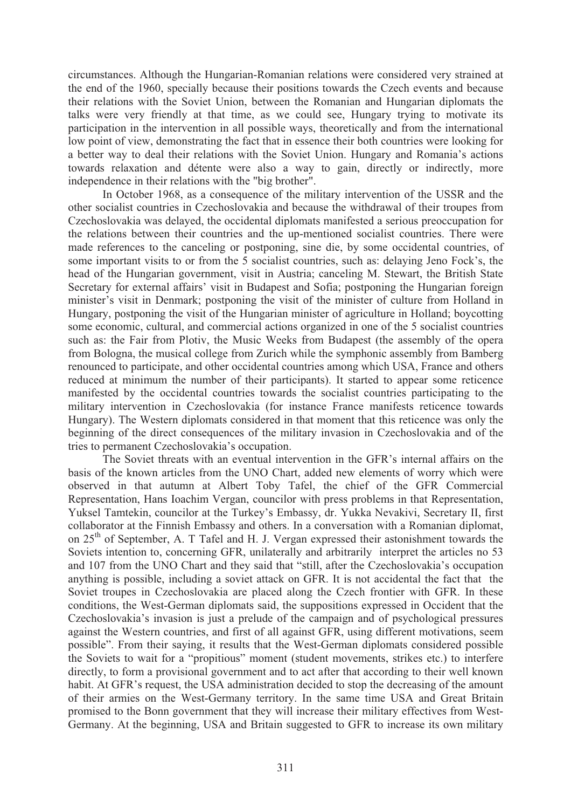circumstances. Although the Hungarian-Romanian relations were considered very strained at the end of the 1960, specially because their positions towards the Czech events and because their relations with the Soviet Union, between the Romanian and Hungarian diplomats the talks were very friendly at that time, as we could see, Hungary trying to motivate its participation in the intervention in all possible ways, theoretically and from the international low point of view, demonstrating the fact that in essence their both countries were looking for a better way to deal their relations with the Soviet Union. Hungary and Romania's actions towards relaxation and détente were also a way to gain, directly or indirectly, more independence in their relations with the "big brother".

In October 1968, as a consequence of the military intervention of the USSR and the other socialist countries in Czechoslovakia and because the withdrawal of their troupes from Czechoslovakia was delayed, the occidental diplomats manifested a serious preoccupation for the relations between their countries and the up-mentioned socialist countries. There were made references to the canceling or postponing, sine die, by some occidental countries, of some important visits to or from the 5 socialist countries, such as: delaying Jeno Fock's, the head of the Hungarian government, visit in Austria; canceling M. Stewart, the British State Secretary for external affairs' visit in Budapest and Sofia; postponing the Hungarian foreign minister's visit in Denmark; postponing the visit of the minister of culture from Holland in Hungary, postponing the visit of the Hungarian minister of agriculture in Holland; boycotting some economic, cultural, and commercial actions organized in one of the 5 socialist countries such as: the Fair from Plotiv, the Music Weeks from Budapest (the assembly of the opera from Bologna, the musical college from Zurich while the symphonic assembly from Bamberg renounced to participate, and other occidental countries among which USA, France and others reduced at minimum the number of their participants). It started to appear some reticence manifested by the occidental countries towards the socialist countries participating to the military intervention in Czechoslovakia (for instance France manifests reticence towards Hungary). The Western diplomats considered in that moment that this reticence was only the beginning of the direct consequences of the military invasion in Czechoslovakia and of the tries to permanent Czechoslovakia's occupation.

The Soviet threats with an eventual intervention in the GFR's internal affairs on the basis of the known articles from the UNO Chart, added new elements of worry which were observed in that autumn at Albert Toby Tafel, the chief of the GFR Commercial Representation, Hans Ioachim Vergan, councilor with press problems in that Representation, Yuksel Tamtekin, councilor at the Turkey's Embassy, dr. Yukka Nevakivi, Secretary II, first collaborator at the Finnish Embassy and others. In a conversation with a Romanian diplomat, on  $25<sup>th</sup>$  of September, A. T Tafel and H. J. Vergan expressed their astonishment towards the Soviets intention to, concerning GFR, unilaterally and arbitrarily interpret the articles no 53 and 107 from the UNO Chart and they said that "still, after the Czechoslovakia's occupation anything is possible, including a soviet attack on GFR. It is not accidental the fact that the Soviet troupes in Czechoslovakia are placed along the Czech frontier with GFR. In these conditions, the West-German diplomats said, the suppositions expressed in Occident that the Czechoslovakia's invasion is just a prelude of the campaign and of psychological pressures against the Western countries, and first of all against GFR, using different motivations, seem possible". From their saying, it results that the West-German diplomats considered possible the Soviets to wait for a "propitious" moment (student movements, strikes etc.) to interfere directly, to form a provisional government and to act after that according to their well known habit. At GFR's request, the USA administration decided to stop the decreasing of the amount of their armies on the West-Germany territory. In the same time USA and Great Britain promised to the Bonn government that they will increase their military effectives from West-Germany. At the beginning, USA and Britain suggested to GFR to increase its own military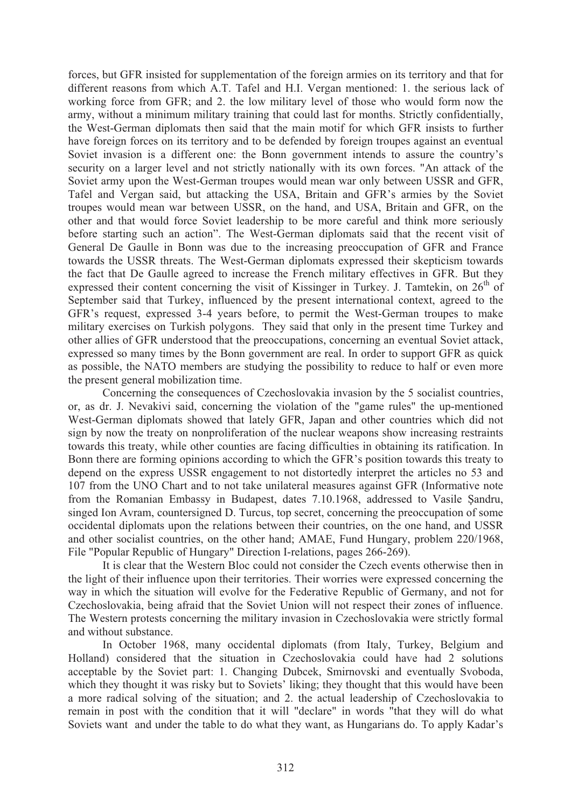forces, but GFR insisted for supplementation of the foreign armies on its territory and that for different reasons from which A.T. Tafel and H.I. Vergan mentioned: 1. the serious lack of working force from GFR; and 2. the low military level of those who would form now the army, without a minimum military training that could last for months. Strictly confidentially, the West-German diplomats then said that the main motif for which GFR insists to further have foreign forces on its territory and to be defended by foreign troupes against an eventual Soviet invasion is a different one: the Bonn government intends to assure the country's security on a larger level and not strictly nationally with its own forces. "An attack of the Soviet army upon the West-German troupes would mean war only between USSR and GFR, Tafel and Vergan said, but attacking the USA, Britain and GFR's armies by the Soviet troupes would mean war between USSR, on the hand, and USA, Britain and GFR, on the other and that would force Soviet leadership to be more careful and think more seriously before starting such an action". The West-German diplomats said that the recent visit of General De Gaulle in Bonn was due to the increasing preoccupation of GFR and France towards the USSR threats. The West-German diplomats expressed their skepticism towards the fact that De Gaulle agreed to increase the French military effectives in GFR. But they expressed their content concerning the visit of Kissinger in Turkey. J. Tamtekin, on  $26<sup>th</sup>$  of September said that Turkey, influenced by the present international context, agreed to the GFR's request, expressed 3-4 years before, to permit the West-German troupes to make military exercises on Turkish polygons. They said that only in the present time Turkey and other allies of GFR understood that the preoccupations, concerning an eventual Soviet attack, expressed so many times by the Bonn government are real. In order to support GFR as quick as possible, the NATO members are studying the possibility to reduce to half or even more the present general mobilization time.

Concerning the consequences of Czechoslovakia invasion by the 5 socialist countries, or, as dr. J. Nevakivi said, concerning the violation of the "game rules" the up-mentioned West-German diplomats showed that lately GFR, Japan and other countries which did not sign by now the treaty on nonproliferation of the nuclear weapons show increasing restraints towards this treaty, while other counties are facing difficulties in obtaining its ratification. In Bonn there are forming opinions according to which the GFR's position towards this treaty to depend on the express USSR engagement to not distortedly interpret the articles no 53 and 107 from the UNO Chart and to not take unilateral measures against GFR (Informative note from the Romanian Embassy in Budapest, dates 7.10.1968, addressed to Vasile Sandru, singed Ion Avram, countersigned D. Turcus, top secret, concerning the preoccupation of some occidental diplomats upon the relations between their countries, on the one hand, and USSR and other socialist countries, on the other hand; AMAE, Fund Hungary, problem 220/1968, File "Popular Republic of Hungary" Direction I-relations, pages 266-269).

It is clear that the Western Bloc could not consider the Czech events otherwise then in the light of their influence upon their territories. Their worries were expressed concerning the way in which the situation will evolve for the Federative Republic of Germany, and not for Czechoslovakia, being afraid that the Soviet Union will not respect their zones of influence. The Western protests concerning the military invasion in Czechoslovakia were strictly formal and without substance.

In October 1968, many occidental diplomats (from Italy, Turkey, Belgium and Holland) considered that the situation in Czechoslovakia could have had 2 solutions acceptable by the Soviet part: 1. Changing Dubcek, Smirnovski and eventually Svoboda, which they thought it was risky but to Soviets' liking; they thought that this would have been a more radical solving of the situation; and 2. the actual leadership of Czechoslovakia to remain in post with the condition that it will "declare" in words "that they will do what Soviets want and under the table to do what they want, as Hungarians do. To apply Kadar's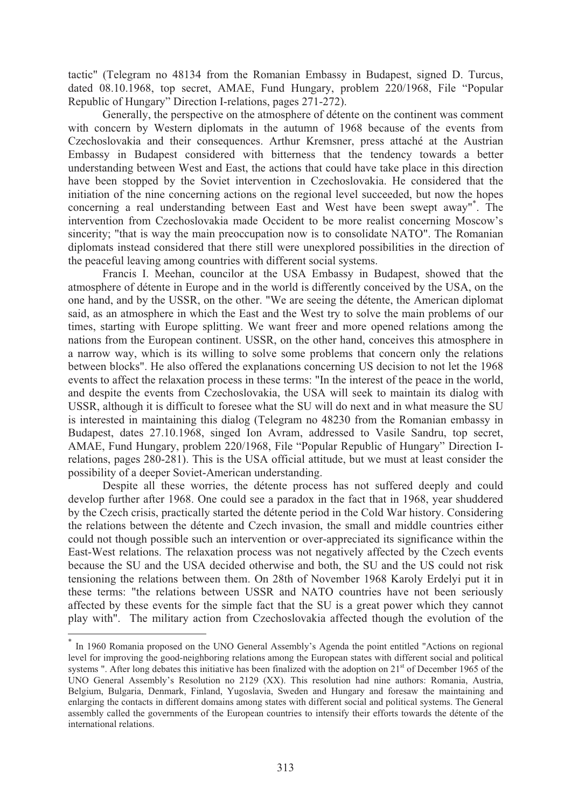tactic" (Telegram no 48134 from the Romanian Embassy in Budapest, signed D. Turcus, dated 08.10.1968, top secret, AMAE, Fund Hungary, problem 220/1968, File "Popular Republic of Hungary" Direction I-relations, pages 271-272).

Generally, the perspective on the atmosphere of détente on the continent was comment with concern by Western diplomats in the autumn of 1968 because of the events from Czechoslovakia and their consequences. Arthur Kremsner, press attaché at the Austrian Embassy in Budapest considered with bitterness that the tendency towards a better understanding between West and East, the actions that could have take place in this direction have been stopped by the Soviet intervention in Czechoslovakia. He considered that the initiation of the nine concerning actions on the regional level succeeded, but now the hopes concerning a real understanding between East and West have been swept away"\* . The intervention from Czechoslovakia made Occident to be more realist concerning Moscow's sincerity; "that is way the main preoccupation now is to consolidate NATO". The Romanian diplomats instead considered that there still were unexplored possibilities in the direction of the peaceful leaving among countries with different social systems.

Francis I. Meehan, councilor at the USA Embassy in Budapest, showed that the atmosphere of détente in Europe and in the world is differently conceived by the USA, on the one hand, and by the USSR, on the other. "We are seeing the détente, the American diplomat said, as an atmosphere in which the East and the West try to solve the main problems of our times, starting with Europe splitting. We want freer and more opened relations among the nations from the European continent. USSR, on the other hand, conceives this atmosphere in a narrow way, which is its willing to solve some problems that concern only the relations between blocks". He also offered the explanations concerning US decision to not let the 1968 events to affect the relaxation process in these terms: "In the interest of the peace in the world, and despite the events from Czechoslovakia, the USA will seek to maintain its dialog with USSR, although it is difficult to foresee what the SU will do next and in what measure the SU is interested in maintaining this dialog (Telegram no 48230 from the Romanian embassy in Budapest, dates 27.10.1968, singed Ion Avram, addressed to Vasile Sandru, top secret, AMAE, Fund Hungary, problem 220/1968, File "Popular Republic of Hungary" Direction Irelations, pages 280-281). This is the USA official attitude, but we must at least consider the possibility of a deeper Soviet-American understanding.

 Despite all these worries, the détente process has not suffered deeply and could develop further after 1968. One could see a paradox in the fact that in 1968, year shuddered by the Czech crisis, practically started the détente period in the Cold War history. Considering the relations between the détente and Czech invasion, the small and middle countries either could not though possible such an intervention or over-appreciated its significance within the East-West relations. The relaxation process was not negatively affected by the Czech events because the SU and the USA decided otherwise and both, the SU and the US could not risk tensioning the relations between them. On 28th of November 1968 Karoly Erdelyi put it in these terms: "the relations between USSR and NATO countries have not been seriously affected by these events for the simple fact that the SU is a great power which they cannot play with". The military action from Czechoslovakia affected though the evolution of the

 $\overline{a}$ 

<sup>\*</sup> In 1960 Romania proposed on the UNO General Assembly's Agenda the point entitled "Actions on regional level for improving the good-neighboring relations among the European states with different social and political systems ". After long debates this initiative has been finalized with the adoption on  $21<sup>st</sup>$  of December 1965 of the UNO General Assembly's Resolution no 2129 (XX). This resolution had nine authors: Romania, Austria, Belgium, Bulgaria, Denmark, Finland, Yugoslavia, Sweden and Hungary and foresaw the maintaining and enlarging the contacts in different domains among states with different social and political systems. The General assembly called the governments of the European countries to intensify their efforts towards the détente of the international relations.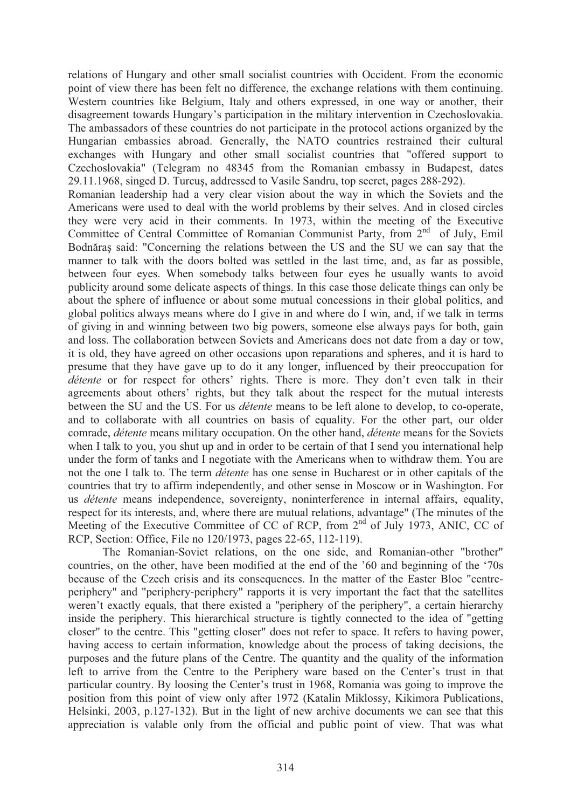relations of Hungary and other small socialist countries with Occident. From the economic point of view there has been felt no difference, the exchange relations with them continuing. Western countries like Belgium, Italy and others expressed, in one way or another, their disagreement towards Hungary's participation in the military intervention in Czechoslovakia. The ambassadors of these countries do not participate in the protocol actions organized by the Hungarian embassies abroad. Generally, the NATO countries restrained their cultural exchanges with Hungary and other small socialist countries that "offered support to Czechoslovakia" (Telegram no 48345 from the Romanian embassy in Budapest, dates 29.11.1968, singed D. Turcus, addressed to Vasile Sandru, top secret, pages 288-292).

Romanian leadership had a very clear vision about the way in which the Soviets and the Americans were used to deal with the world problems by their selves. And in closed circles they were very acid in their comments. In 1973, within the meeting of the Executive Committee of Central Committee of Romanian Communist Party, from  $2<sup>nd</sup>$  of July, Emil Bodnara said: "Concerning the relations between the US and the SU we can say that the manner to talk with the doors bolted was settled in the last time, and, as far as possible, between four eyes. When somebody talks between four eyes he usually wants to avoid publicity around some delicate aspects of things. In this case those delicate things can only be about the sphere of influence or about some mutual concessions in their global politics, and global politics always means where do I give in and where do I win, and, if we talk in terms of giving in and winning between two big powers, someone else always pays for both, gain and loss. The collaboration between Soviets and Americans does not date from a day or tow, it is old, they have agreed on other occasions upon reparations and spheres, and it is hard to presume that they have gave up to do it any longer, influenced by their preoccupation for *détente* or for respect for others' rights. There is more. They don't even talk in their agreements about others' rights, but they talk about the respect for the mutual interests between the SU and the US. For us *détente* means to be left alone to develop, to co-operate, and to collaborate with all countries on basis of equality. For the other part, our older comrade, *détente* means military occupation. On the other hand, *détente* means for the Soviets when I talk to you, you shut up and in order to be certain of that I send you international help under the form of tanks and I negotiate with the Americans when to withdraw them. You are not the one I talk to. The term *détente* has one sense in Bucharest or in other capitals of the countries that try to affirm independently, and other sense in Moscow or in Washington. For us *détente* means independence, sovereignty, noninterference in internal affairs, equality, respect for its interests, and, where there are mutual relations, advantage" (The minutes of the Meeting of the Executive Committee of CC of RCP, from 2<sup>nd</sup> of July 1973, ANIC, CC of RCP, Section: Office, File no 120/1973, pages 22-65, 112-119).

The Romanian-Soviet relations, on the one side, and Romanian-other "brother" countries, on the other, have been modified at the end of the '60 and beginning of the '70s because of the Czech crisis and its consequences. In the matter of the Easter Bloc "centreperiphery" and "periphery-periphery" rapports it is very important the fact that the satellites weren't exactly equals, that there existed a "periphery of the periphery", a certain hierarchy inside the periphery. This hierarchical structure is tightly connected to the idea of "getting closer" to the centre. This "getting closer" does not refer to space. It refers to having power, having access to certain information, knowledge about the process of taking decisions, the purposes and the future plans of the Centre. The quantity and the quality of the information left to arrive from the Centre to the Periphery ware based on the Center's trust in that particular country. By loosing the Center's trust in 1968, Romania was going to improve the position from this point of view only after 1972 (Katalin Miklossy, Kikimora Publications, Helsinki, 2003, p.127-132). But in the light of new archive documents we can see that this appreciation is valable only from the official and public point of view. That was what